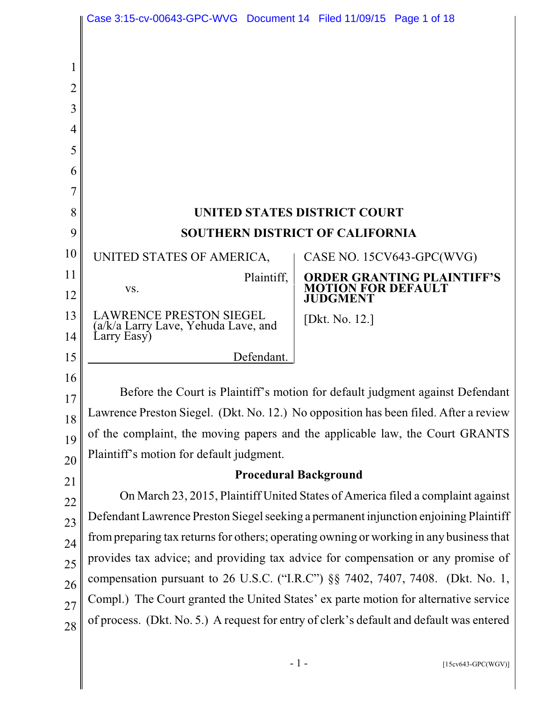|                | Case 3:15-cv-00643-GPC-WVG Document 14 Filed 11/09/15 Page 1 of 18                      |                                                                                          |  |  |
|----------------|-----------------------------------------------------------------------------------------|------------------------------------------------------------------------------------------|--|--|
|                |                                                                                         |                                                                                          |  |  |
| 1              |                                                                                         |                                                                                          |  |  |
| $\overline{2}$ |                                                                                         |                                                                                          |  |  |
| 3              |                                                                                         |                                                                                          |  |  |
| 4              |                                                                                         |                                                                                          |  |  |
| 5              |                                                                                         |                                                                                          |  |  |
| 6              |                                                                                         |                                                                                          |  |  |
| 7              |                                                                                         |                                                                                          |  |  |
| 8              |                                                                                         | <b>UNITED STATES DISTRICT COURT</b>                                                      |  |  |
| 9              | <b>SOUTHERN DISTRICT OF CALIFORNIA</b>                                                  |                                                                                          |  |  |
| 10             | UNITED STATES OF AMERICA,                                                               | CASE NO. 15CV643-GPC(WVG)                                                                |  |  |
| 11             | Plaintiff,                                                                              | <b>ORDER GRANTING PLAINTIFF'S</b>                                                        |  |  |
| 12             | VS.                                                                                     | <b>OTION FOR DEFAULT</b><br><b>JUDGMENT</b>                                              |  |  |
| 13             | <b>LAWRENCE PRESTON SIEGEL</b><br>(a/k/a Larry Lave, Yehuda Lave, and                   | [Dkt. No. 12.]                                                                           |  |  |
| 14             | Larry Easy)                                                                             |                                                                                          |  |  |
| 15             | Defendant.                                                                              |                                                                                          |  |  |
| 16             |                                                                                         |                                                                                          |  |  |
| 17             |                                                                                         | Before the Court is Plaintiff's motion for default judgment against Defendant            |  |  |
| 18             |                                                                                         | Lawrence Preston Siegel. (Dkt. No. 12.) No opposition has been filed. After a review     |  |  |
| 19             | of the complaint, the moving papers and the applicable law, the Court GRANTS            |                                                                                          |  |  |
| 20             | Plaintiff's motion for default judgment.                                                |                                                                                          |  |  |
| 21             | <b>Procedural Background</b>                                                            |                                                                                          |  |  |
| 22             | On March 23, 2015, Plaintiff United States of America filed a complaint against         |                                                                                          |  |  |
| 23             | Defendant Lawrence Preston Siegel seeking a permanent injunction enjoining Plaintiff    |                                                                                          |  |  |
| 24             | from preparing tax returns for others; operating owning or working in any business that |                                                                                          |  |  |
| 25             | provides tax advice; and providing tax advice for compensation or any promise of        |                                                                                          |  |  |
| 26             | compensation pursuant to 26 U.S.C. ("I.R.C") §§ 7402, 7407, 7408. (Dkt. No. 1,          |                                                                                          |  |  |
| 27             | Compl.) The Court granted the United States' ex parte motion for alternative service    |                                                                                          |  |  |
| 28             |                                                                                         | of process. (Dkt. No. 5.) A request for entry of clerk's default and default was entered |  |  |
|                |                                                                                         |                                                                                          |  |  |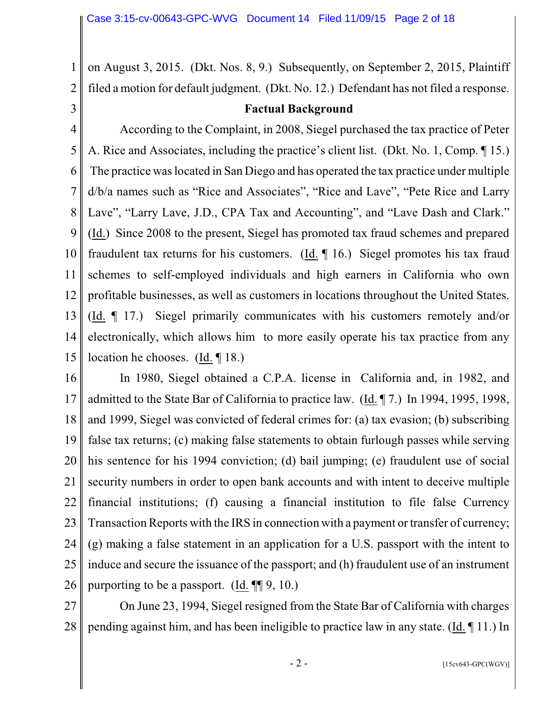2 on August 3, 2015. (Dkt. Nos. 8, 9.) Subsequently, on September 2, 2015, Plaintiff filed a motion for default judgment. (Dkt. No. 12.) Defendant has not filed a response.

3

1

#### **Factual Background**

4 5 6 7 8 9 10 11 12 13 14 15 According to the Complaint, in 2008, Siegel purchased the tax practice of Peter A. Rice and Associates, including the practice's client list. (Dkt. No. 1, Comp. ¶ 15.) The practice waslocated in San Diego and has operated the tax practice under multiple d/b/a names such as "Rice and Associates", "Rice and Lave", "Pete Rice and Larry Lave", "Larry Lave, J.D., CPA Tax and Accounting", and "Lave Dash and Clark." (Id.) Since 2008 to the present, Siegel has promoted tax fraud schemes and prepared fraudulent tax returns for his customers. (Id. ¶ 16.) Siegel promotes his tax fraud schemes to self-employed individuals and high earners in California who own profitable businesses, as well as customers in locations throughout the United States. (Id. ¶ 17.) Siegel primarily communicates with his customers remotely and/or electronically, which allows him to more easily operate his tax practice from any location he chooses. (Id. ¶ 18.)

16 17 18 19 20 21 22 23 24 25 26 In 1980, Siegel obtained a C.P.A. license in California and, in 1982, and admitted to the State Bar of California to practice law. (Id. ¶ 7.) In 1994, 1995, 1998, and 1999, Siegel was convicted of federal crimes for: (a) tax evasion; (b) subscribing false tax returns; (c) making false statements to obtain furlough passes while serving his sentence for his 1994 conviction; (d) bail jumping; (e) fraudulent use of social security numbers in order to open bank accounts and with intent to deceive multiple financial institutions; (f) causing a financial institution to file false Currency Transaction Reports with the IRS in connection with a payment or transfer of currency; (g) making a false statement in an application for a U.S. passport with the intent to induce and secure the issuance of the passport; and (h) fraudulent use of an instrument purporting to be a passport. (Id. ¶¶ 9, 10.)

27 28 On June 23, 1994, Siegel resigned from the State Bar of California with charges pending against him, and has been ineligible to practice law in any state. (Id. ¶ 11.) In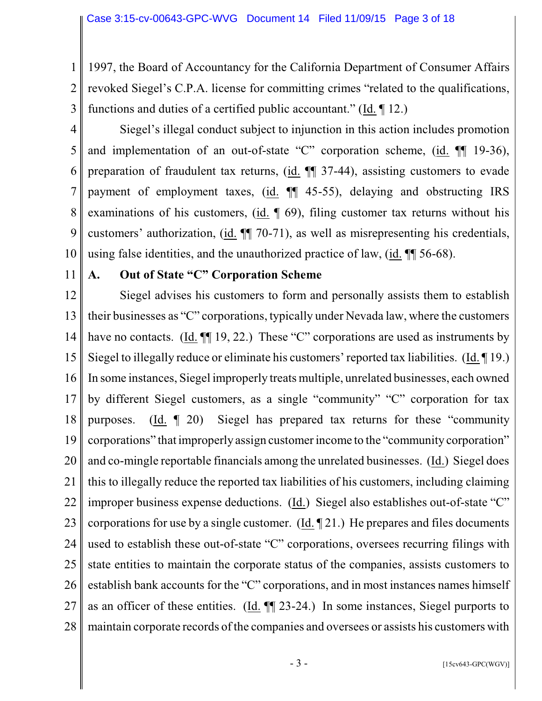1 2 3 1997, the Board of Accountancy for the California Department of Consumer Affairs revoked Siegel's C.P.A. license for committing crimes "related to the qualifications, functions and duties of a certified public accountant." (Id. ¶ 12.)

- 4 5 6 7 8 9 10 Siegel's illegal conduct subject to injunction in this action includes promotion and implementation of an out-of-state "C" corporation scheme, (id. ¶¶ 19-36), preparation of fraudulent tax returns, (id.  $\P$  37-44), assisting customers to evade payment of employment taxes, (id. ¶¶ 45-55), delaying and obstructing IRS examinations of his customers, (id. ¶ 69), filing customer tax returns without his customers' authorization, (id. ¶¶ 70-71), as well as misrepresenting his credentials, using false identities, and the unauthorized practice of law, (id. ¶¶ 56-68).
- 11

## **A. Out of State "C" Corporation Scheme**

12 13 14 15 16 17 18 19 20 21 22 23 24 25 26 27 28 Siegel advises his customers to form and personally assists them to establish their businesses as "C" corporations, typically under Nevada law, where the customers have no contacts. (Id.  $\P$ [19, 22.) These "C" corporations are used as instruments by Siegel to illegally reduce or eliminate his customers' reported tax liabilities. (Id. ¶ 19.) In some instances, Siegel improperly treats multiple, unrelated businesses, each owned by different Siegel customers, as a single "community" "C" corporation for tax purposes. (Id. ¶ 20) Siegel has prepared tax returns for these "community corporations" that improperly assign customer income to the "community corporation" and co-mingle reportable financials among the unrelated businesses. (Id.) Siegel does this to illegally reduce the reported tax liabilities of his customers, including claiming improper business expense deductions. (Id.) Siegel also establishes out-of-state "C" corporations for use by a single customer. (Id. ¶ 21.) He prepares and files documents used to establish these out-of-state "C" corporations, oversees recurring filings with state entities to maintain the corporate status of the companies, assists customers to establish bank accounts for the "C" corporations, and in most instances names himself as an officer of these entities. (Id. ¶¶ 23-24.) In some instances, Siegel purports to maintain corporate records of the companies and oversees or assists his customers with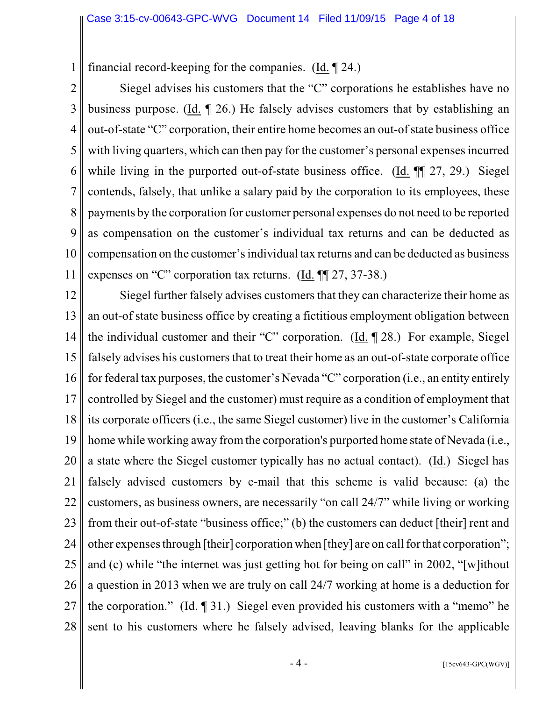1 financial record-keeping for the companies. (Id. ¶ 24.)

2 3 4 5 6 7 8 9 10 11 Siegel advises his customers that the "C" corporations he establishes have no business purpose. (Id. ¶ 26.) He falsely advises customers that by establishing an out-of-state "C" corporation, their entire home becomes an out-of state business office with living quarters, which can then pay for the customer's personal expenses incurred while living in the purported out-of-state business office. (Id.  $\P$  27, 29.) Siegel contends, falsely, that unlike a salary paid by the corporation to its employees, these payments by the corporation for customer personal expenses do not need to be reported as compensation on the customer's individual tax returns and can be deducted as compensation on the customer's individual tax returns and can be deducted as business expenses on "C" corporation tax returns. (Id. ¶¶ 27, 37-38.)

12 13 14 15 16 17 18 19 20 21 22 23 24 25 26 27 28 Siegel further falsely advises customers that they can characterize their home as an out-of state business office by creating a fictitious employment obligation between the individual customer and their "C" corporation. (Id. ¶ 28.) For example, Siegel falsely advises his customers that to treat their home as an out-of-state corporate office for federal tax purposes, the customer's Nevada "C" corporation (i.e., an entity entirely controlled by Siegel and the customer) must require as a condition of employment that its corporate officers (i.e., the same Siegel customer) live in the customer's California home while working away from the corporation's purported home state of Nevada (i.e., a state where the Siegel customer typically has no actual contact). (Id.) Siegel has falsely advised customers by e-mail that this scheme is valid because: (a) the customers, as business owners, are necessarily "on call 24/7" while living or working from their out-of-state "business office;" (b) the customers can deduct [their] rent and other expensesthrough [their] corporation when [they] are on call for that corporation"; and (c) while "the internet was just getting hot for being on call" in 2002, "[w]ithout a question in 2013 when we are truly on call 24/7 working at home is a deduction for the corporation." (Id. ¶ 31.) Siegel even provided his customers with a "memo" he sent to his customers where he falsely advised, leaving blanks for the applicable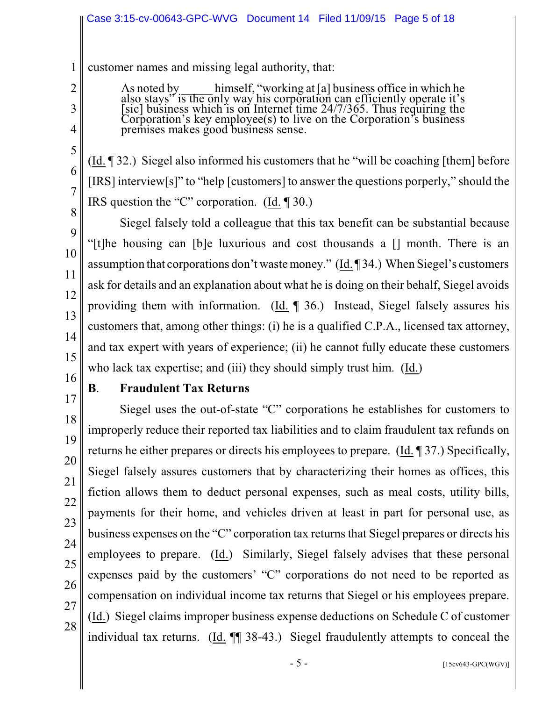1 customer names and missing legal authority, that:

> As noted by himself, "working at [a] business office in which he also stays" is the only way his corporation can efficiently operate it's [sic] business which is on Internet time 24/7/365. Thus requiring the Corporation's key employee(s) to live on the Corporation's business premises makes good business sense.

(Id. ¶ 32.) Siegel also informed his customers that he "will be coaching [them] before [IRS] interview[s]" to "help [customers] to answer the questions porperly," should the IRS question the "C" corporation. (Id. ¶ 30.)

Siegel falsely told a colleague that this tax benefit can be substantial because "[t]he housing can [b]e luxurious and cost thousands a [] month. There is an assumption that corporations don't wastemoney." (Id. ¶ 34.) When Siegel's customers ask for details and an explanation about what he is doing on their behalf, Siegel avoids providing them with information. (Id. ¶ 36.) Instead, Siegel falsely assures his customers that, among other things: (i) he is a qualified C.P.A., licensed tax attorney, and tax expert with years of experience; (ii) he cannot fully educate these customers who lack tax expertise; and (iii) they should simply trust him. (Id.)

16 17

18

19

20

21

22

23

24

25

26

27

28

2

3

4

5

6

7

8

9

10

11

12

13

14

15

#### **B**. **Fraudulent Tax Returns**

Siegel uses the out-of-state "C" corporations he establishes for customers to improperly reduce their reported tax liabilities and to claim fraudulent tax refunds on returns he either prepares or directs his employees to prepare. (Id. ¶ 37.) Specifically, Siegel falsely assures customers that by characterizing their homes as offices, this fiction allows them to deduct personal expenses, such as meal costs, utility bills, payments for their home, and vehicles driven at least in part for personal use, as business expenses on the "C" corporation tax returns that Siegel prepares or directs his employees to prepare. (Id.) Similarly, Siegel falsely advises that these personal expenses paid by the customers' "C" corporations do not need to be reported as compensation on individual income tax returns that Siegel or his employees prepare. (Id.) Siegel claims improper business expense deductions on Schedule C of customer individual tax returns. (Id. ¶¶ 38-43.) Siegel fraudulently attempts to conceal the

 $-5 -$  [15cv643-GPC(WGV)]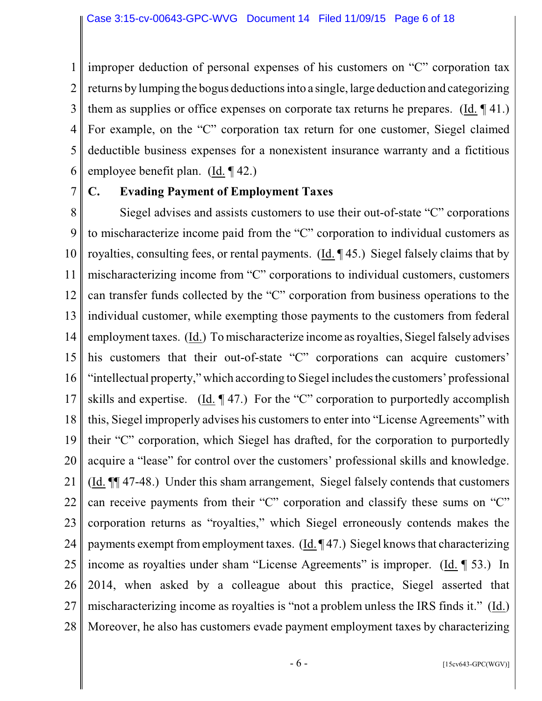1 2 3 4 5 6 improper deduction of personal expenses of his customers on "C" corporation tax returns by lumping the bogus deductionsinto a single, large deduction and categorizing them as supplies or office expenses on corporate tax returns he prepares. (Id. ¶ 41.) For example, on the "C" corporation tax return for one customer, Siegel claimed deductible business expenses for a nonexistent insurance warranty and a fictitious employee benefit plan. (Id. ¶ 42.)

7

## **C. Evading Payment of Employment Taxes**

8 9 10 11 12 13 14 15 16 17 18 19 20 21 22 23 24 25 26 27 28 Siegel advises and assists customers to use their out-of-state "C" corporations to mischaracterize income paid from the "C" corporation to individual customers as royalties, consulting fees, or rental payments. (Id. ¶ 45.) Siegel falsely claims that by mischaracterizing income from "C" corporations to individual customers, customers can transfer funds collected by the "C" corporation from business operations to the individual customer, while exempting those payments to the customers from federal employment taxes. (Id.) To mischaracterize income as royalties, Siegel falsely advises his customers that their out-of-state "C" corporations can acquire customers' "intellectual property," which according to Siegel includes the customers' professional skills and expertise. (Id. ¶ 47.) For the "C" corporation to purportedly accomplish this, Siegel improperly advises his customers to enter into "License Agreements" with their "C" corporation, which Siegel has drafted, for the corporation to purportedly acquire a "lease" for control over the customers' professional skills and knowledge. (Id. ¶¶ 47-48.) Under this sham arrangement, Siegel falsely contends that customers can receive payments from their "C" corporation and classify these sums on "C" corporation returns as "royalties," which Siegel erroneously contends makes the payments exempt from employment taxes.  $(\text{Id.} \P 47.)$  Siegel knows that characterizing income as royalties under sham "License Agreements" is improper. (Id. ¶ 53.) In 2014, when asked by a colleague about this practice, Siegel asserted that mischaracterizing income as royalties is "not a problem unless the IRS finds it." (Id.) Moreover, he also has customers evade payment employment taxes by characterizing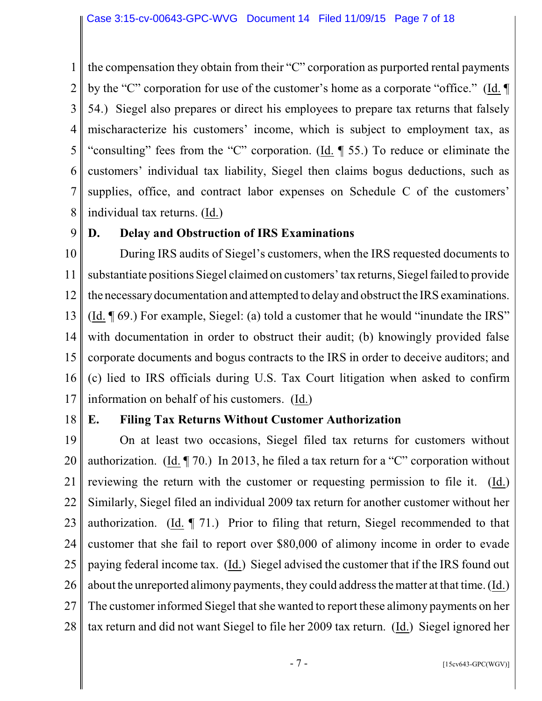1 2 3 4 5 6 7 8 the compensation they obtain from their "C" corporation as purported rental payments by the "C" corporation for use of the customer's home as a corporate "office." (Id. ¶ 54.) Siegel also prepares or direct his employees to prepare tax returns that falsely mischaracterize his customers' income, which is subject to employment tax, as "consulting" fees from the "C" corporation. (Id. ¶ 55.) To reduce or eliminate the customers' individual tax liability, Siegel then claims bogus deductions, such as supplies, office, and contract labor expenses on Schedule C of the customers' individual tax returns. (Id.)

9

## **D. Delay and Obstruction of IRS Examinations**

10 11 12 13 14 15 16 17 During IRS audits of Siegel's customers, when the IRS requested documents to substantiate positions Siegel claimed on customers' tax returns, Siegel failed to provide the necessarydocumentation and attempted to delay and obstruct the IRS examinations. (Id. ¶ 69.) For example, Siegel: (a) told a customer that he would "inundate the IRS" with documentation in order to obstruct their audit; (b) knowingly provided false corporate documents and bogus contracts to the IRS in order to deceive auditors; and (c) lied to IRS officials during U.S. Tax Court litigation when asked to confirm information on behalf of his customers. (Id.)

18

## **E. Filing Tax Returns Without Customer Authorization**

19 20 21 22 23 24 25 26 27 28 On at least two occasions, Siegel filed tax returns for customers without authorization. (Id. ¶ 70.) In 2013, he filed a tax return for a "C" corporation without reviewing the return with the customer or requesting permission to file it. (Id.) Similarly, Siegel filed an individual 2009 tax return for another customer without her authorization. (Id. ¶ 71.) Prior to filing that return, Siegel recommended to that customer that she fail to report over \$80,000 of alimony income in order to evade paying federal income tax. (Id.) Siegel advised the customer that if the IRS found out about the unreported alimony payments, they could address the matter at that time. (Id.) The customer informed Siegel that she wanted to report these alimony payments on her tax return and did not want Siegel to file her 2009 tax return. (Id.) Siegel ignored her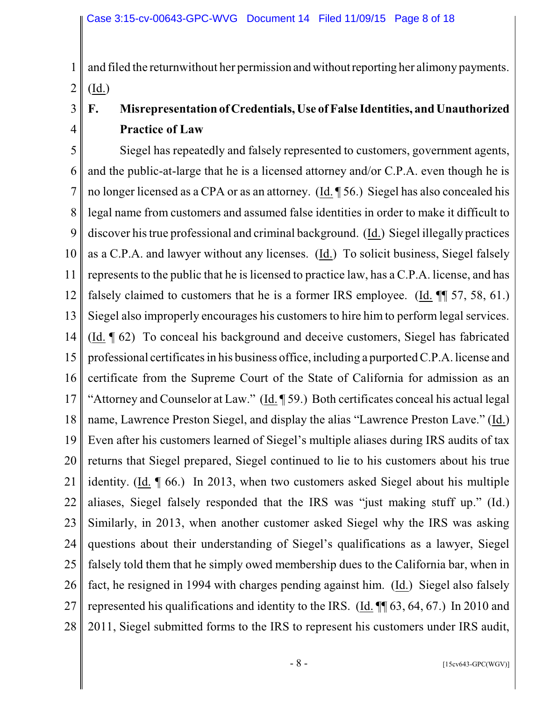3

4

1 2 and filed the return without her permission and without reporting her alimony payments.  $(\underline{Id})$ 

# **F. Misrepresentation ofCredentials, Use of False Identities, and Unauthorized Practice of Law**

5 6 7 8 9 10 11 12 13 14 15 16 17 18 19 20 21 22 23 24 25 26 27 28 Siegel has repeatedly and falsely represented to customers, government agents, and the public-at-large that he is a licensed attorney and/or C.P.A. even though he is no longer licensed as a CPA or as an attorney. (Id. ¶ 56.) Siegel has also concealed his legal name from customers and assumed false identities in order to make it difficult to discover his true professional and criminal background. (Id.) Siegel illegally practices as a C.P.A. and lawyer without any licenses. (Id.) To solicit business, Siegel falsely represents to the public that he is licensed to practice law, has a  $C.P.A.$  license, and has falsely claimed to customers that he is a former IRS employee. (Id.  $\P$  57, 58, 61.) Siegel also improperly encourages his customers to hire him to perform legal services. (Id. ¶ 62) To conceal his background and deceive customers, Siegel has fabricated professional certificatesin his business office, including a purported C.P.A. license and certificate from the Supreme Court of the State of California for admission as an "Attorney and Counselor at Law." (Id. ¶ 59.) Both certificates conceal his actual legal name, Lawrence Preston Siegel, and display the alias "Lawrence Preston Lave." (Id.) Even after his customers learned of Siegel's multiple aliases during IRS audits of tax returns that Siegel prepared, Siegel continued to lie to his customers about his true identity. (Id. ¶ 66.) In 2013, when two customers asked Siegel about his multiple aliases, Siegel falsely responded that the IRS was "just making stuff up." (Id.) Similarly, in 2013, when another customer asked Siegel why the IRS was asking questions about their understanding of Siegel's qualifications as a lawyer, Siegel falsely told them that he simply owed membership dues to the California bar, when in fact, he resigned in 1994 with charges pending against him. (Id.) Siegel also falsely represented his qualifications and identity to the IRS. (Id. ¶¶ 63, 64, 67.) In 2010 and 2011, Siegel submitted forms to the IRS to represent his customers under IRS audit,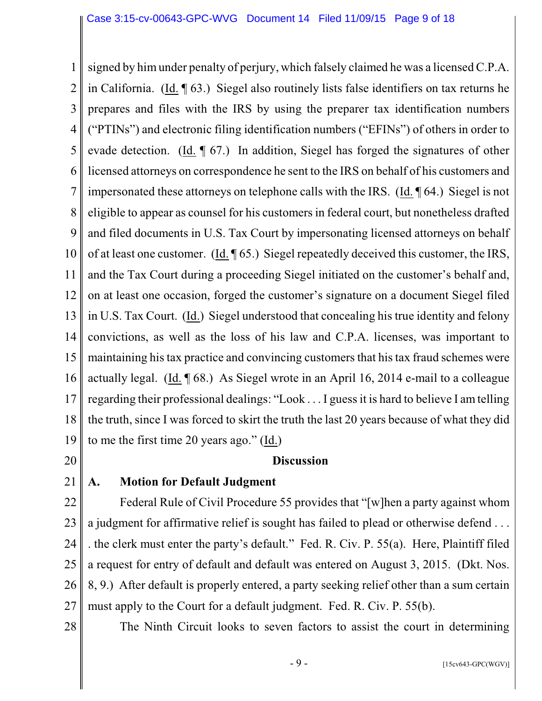1 2 3 4 5 6 7 8 9 10 11 12 13 14 15 16 17 18 19 signed by him under penalty of perjury, which falsely claimed he was a licensed C.P.A. in California. (Id. ¶ 63.) Siegel also routinely lists false identifiers on tax returns he prepares and files with the IRS by using the preparer tax identification numbers ("PTINs") and electronic filing identification numbers ("EFINs") of others in order to evade detection. (Id. ¶ 67.) In addition, Siegel has forged the signatures of other licensed attorneys on correspondence he sent to the IRS on behalf of his customers and impersonated these attorneys on telephone calls with the IRS. (Id. ¶ 64.) Siegel is not eligible to appear as counsel for his customersin federal court, but nonetheless drafted and filed documents in U.S. Tax Court by impersonating licensed attorneys on behalf of at least one customer. (Id. ¶ 65.) Siegel repeatedly deceived this customer, the IRS, and the Tax Court during a proceeding Siegel initiated on the customer's behalf and, on at least one occasion, forged the customer's signature on a document Siegel filed in U.S. Tax Court. (Id.) Siegel understood that concealing his true identity and felony convictions, as well as the loss of his law and C.P.A. licenses, was important to maintaining his tax practice and convincing customers that his tax fraud schemes were actually legal. (Id. ¶ 68.) As Siegel wrote in an April 16, 2014 e-mail to a colleague regarding their professional dealings: "Look . . . I guess it is hard to believe I am telling the truth, since I was forced to skirt the truth the last 20 years because of what they did to me the first time 20 years ago." (Id.)

20

#### **Discussion**

# 21

## **A. Motion for Default Judgment**

22 23 24 25 26 27 Federal Rule of Civil Procedure 55 provides that "[w]hen a party against whom a judgment for affirmative relief is sought has failed to plead or otherwise defend . . . . the clerk must enter the party's default." Fed. R. Civ. P. 55(a). Here, Plaintiff filed a request for entry of default and default was entered on August 3, 2015. (Dkt. Nos. 8, 9.) After default is properly entered, a party seeking relief other than a sum certain must apply to the Court for a default judgment. Fed. R. Civ. P. 55(b).

28

The Ninth Circuit looks to seven factors to assist the court in determining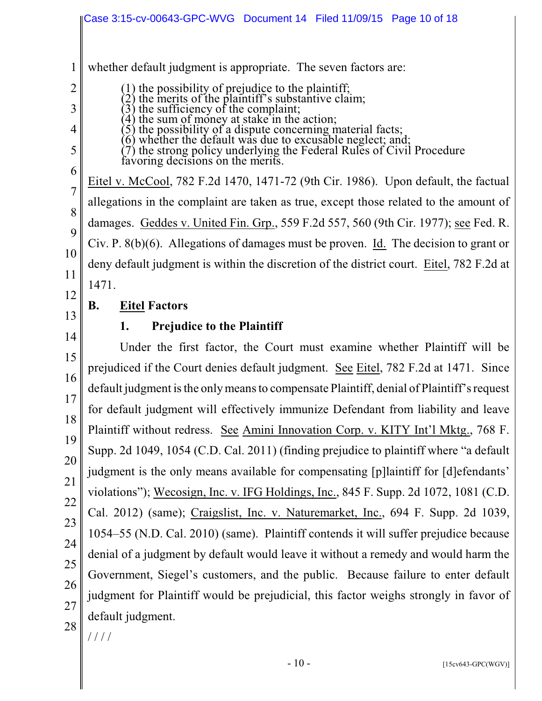1 2 3 4 5 6 7 8 9 10 11 12 13 14 15 16 17 18 19 20 21 22 23 24 25 26 27 28 whether default judgment is appropriate. The seven factors are: (1) the possibility of prejudice to the plaintiff; (2) the merits of the plaintiff's substantive claim;  $(3)$  the sufficiency of the complaint; (4) the sum of money at stake in the action; (5) the possibility of a dispute concerning material facts; (6) whether the default was due to excusable neglect; and; (7) the strong policy underlying the Federal Rules of Civil Procedure favoring decisions on the merits. Eitel v. McCool, 782 F.2d 1470, 1471-72 (9th Cir. 1986). Upon default, the factual allegations in the complaint are taken as true, except those related to the amount of damages. Geddes v. United Fin. Grp., 559 F.2d 557, 560 (9th Cir. 1977); see Fed. R. Civ. P. 8(b)(6). Allegations of damages must be proven. Id. The decision to grant or deny default judgment is within the discretion of the district court. Eitel, 782 F.2d at 1471. **B. Eitel Factors 1. Prejudice to the Plaintiff** Under the first factor, the Court must examine whether Plaintiff will be prejudiced if the Court denies default judgment. See Eitel, 782 F.2d at 1471. Since default judgment is the only means to compensate Plaintiff, denial of Plaintiff's request for default judgment will effectively immunize Defendant from liability and leave Plaintiff without redress. See Amini Innovation Corp. v. KITY Int'l Mktg., 768 F. Supp. 2d 1049, 1054 (C.D. Cal. 2011) (finding prejudice to plaintiff where "a default judgment is the only means available for compensating [p]laintiff for [d]efendants' violations"); Wecosign, Inc. v. IFG Holdings, Inc., 845 F. Supp. 2d 1072, 1081 (C.D. Cal. 2012) (same); Craigslist, Inc. v. Naturemarket, Inc., 694 F. Supp. 2d 1039, 1054–55 (N.D. Cal. 2010) (same). Plaintiff contends it will suffer prejudice because denial of a judgment by default would leave it without a remedy and would harm the Government, Siegel's customers, and the public. Because failure to enter default judgment for Plaintiff would be prejudicial, this factor weighs strongly in favor of default judgment. / / / /  $-10$  - [15cv643-GPC(WGV)] Case 3:15-cv-00643-GPC-WVG Document 14 Filed 11/09/15 Page 10 of 18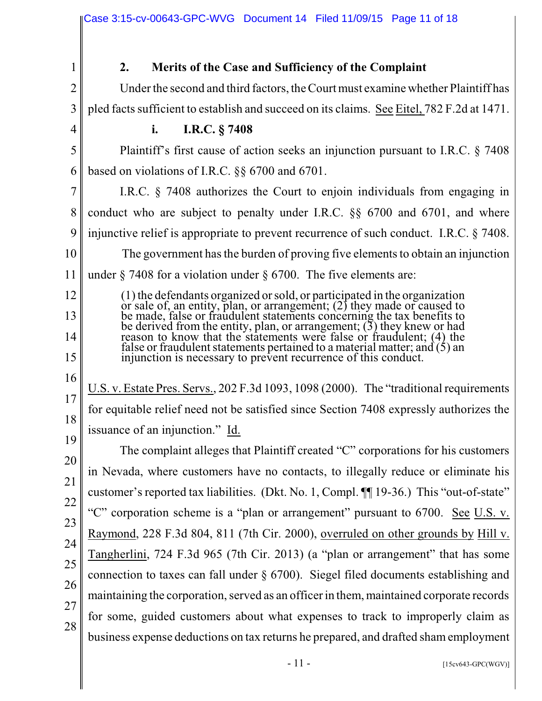|                | Case 3:15-cv-00643-GPC-WVG  Document 14  Filed 11/09/15  Page 11 of 18                                                                                                                                                                                                                            |
|----------------|---------------------------------------------------------------------------------------------------------------------------------------------------------------------------------------------------------------------------------------------------------------------------------------------------|
|                |                                                                                                                                                                                                                                                                                                   |
| 1              | Merits of the Case and Sufficiency of the Complaint<br>2.                                                                                                                                                                                                                                         |
| $\overline{2}$ | Under the second and third factors, the Court must examine whether Plaintiff has                                                                                                                                                                                                                  |
| 3              | pled facts sufficient to establish and succeed on its claims. See Eitel, 782 F.2d at 1471.                                                                                                                                                                                                        |
| 4              | I.R.C. § 7408<br>i.                                                                                                                                                                                                                                                                               |
| 5              | Plaintiff's first cause of action seeks an injunction pursuant to I.R.C. § 7408                                                                                                                                                                                                                   |
| 6              | based on violations of I.R.C. $\S$ 6700 and 6701.                                                                                                                                                                                                                                                 |
| 7              | I.R.C. $\S$ 7408 authorizes the Court to enjoin individuals from engaging in                                                                                                                                                                                                                      |
| 8              | conduct who are subject to penalty under I.R.C. §§ 6700 and 6701, and where                                                                                                                                                                                                                       |
| 9              | injunctive relief is appropriate to prevent recurrence of such conduct. I.R.C. § 7408.                                                                                                                                                                                                            |
| 10             | The government has the burden of proving five elements to obtain an injunction                                                                                                                                                                                                                    |
| 11             | under $\S$ 7408 for a violation under $\S$ 6700. The five elements are:                                                                                                                                                                                                                           |
| 12<br>13       | (1) the defendants organized or sold, or participated in the organization<br>or sale of, an entity, plan, or arrangement; (2) they made or caused to<br>be made, false or fraudulent statements concerning the tax benefits to                                                                    |
| 14<br>15       | be derived from the entity, plan, or arrangement; $(3)$ they knew or had<br>reason to know that the statements were false or fraudulent; (4) the<br>false or fraudulent statements pertained to a material matter; and $(5)$ an<br>injunction is necessary to prevent recurrence of this conduct. |
| 16<br>17<br>18 | U.S. v. Estate Pres. Servs., 202 F.3d 1093, 1098 (2000). The "traditional requirements"<br>for equitable relief need not be satisfied since Section 7408 expressly authorizes the<br>issuance of an injunction." Id.                                                                              |
| 19             | The complaint alleges that Plaintiff created "C" corporations for his customers                                                                                                                                                                                                                   |
| 20<br>21       | in Nevada, where customers have no contacts, to illegally reduce or eliminate his                                                                                                                                                                                                                 |
| 22             | customer's reported tax liabilities. (Dkt. No. 1, Compl. ¶ 19-36.) This "out-of-state"                                                                                                                                                                                                            |
| 23             | "C" corporation scheme is a "plan or arrangement" pursuant to 6700. See U.S. v.                                                                                                                                                                                                                   |
| 24             | Raymond, 228 F.3d 804, 811 (7th Cir. 2000), overruled on other grounds by Hill v.                                                                                                                                                                                                                 |
| 25             | Tangherlini, 724 F.3d 965 (7th Cir. 2013) (a "plan or arrangement" that has some                                                                                                                                                                                                                  |
| 26             | connection to taxes can fall under $\S$ 6700). Siegel filed documents establishing and                                                                                                                                                                                                            |
| 27             | maintaining the corporation, served as an officer in them, maintained corporate records                                                                                                                                                                                                           |
| 28             | for some, guided customers about what expenses to track to improperly claim as                                                                                                                                                                                                                    |
|                | business expense deductions on tax returns he prepared, and drafted sham employment                                                                                                                                                                                                               |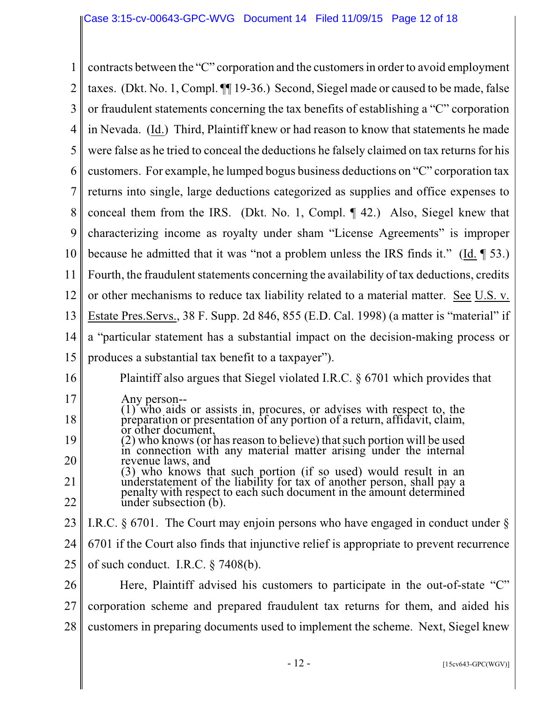|    | contracts between the "C" corporation and the customers in order to avoid employment                                                                         |
|----|--------------------------------------------------------------------------------------------------------------------------------------------------------------|
| 2  | taxes. (Dkt. No. 1, Compl. II 19-36.) Second, Siegel made or caused to be made, false                                                                        |
| 3  | or fraudulent statements concerning the tax benefits of establishing a "C" corporation                                                                       |
| 4  | in Nevada. (Id.) Third, Plaintiff knew or had reason to know that statements he made                                                                         |
| 5  | were false as he tried to conceal the deductions he falsely claimed on tax returns for his                                                                   |
| 6  | customers. For example, he lumped bogus business deductions on "C" corporation tax                                                                           |
|    | returns into single, large deductions categorized as supplies and office expenses to                                                                         |
| 8  | conceal them from the IRS. (Dkt. No. 1, Compl. $\P$ 42.) Also, Siegel knew that                                                                              |
| 9  | characterizing income as royalty under sham "License Agreements" is improper                                                                                 |
| 10 | because he admitted that it was "not a problem unless the IRS finds it." (Id. $\parallel$ 53.)                                                               |
| 11 | Fourth, the fraudulent statements concerning the availability of tax deductions, credits                                                                     |
| 12 | or other mechanisms to reduce tax liability related to a material matter. See U.S. v.                                                                        |
| 13 | Estate Pres. Servs., 38 F. Supp. 2d 846, 855 (E.D. Cal. 1998) (a matter is "material" if                                                                     |
| 14 | a "particular statement has a substantial impact on the decision-making process or                                                                           |
| 15 | produces a substantial tax benefit to a taxpayer").                                                                                                          |
| 16 | Plaintiff also argues that Siegel violated I.R.C. $\S$ 6701 which provides that                                                                              |
| 17 | Any person--                                                                                                                                                 |
| 18 | (1) who aids or assists in, procures, or advises with respect to, the preparation or presentation of any portion of a return, affidavit, claim,<br>document. |
| 19 | (2) who knows (or has reason to believe) that such portion will be used<br>in connection with any material matter arising under the internal                 |
| 20 | revenue laws, and<br>(3) who knows that such portion (if so used) would result in an                                                                         |
| 21 | understatement of the liability for tax of another person, shall pay a penalty with respect to each such document in the amount determined                   |
| 22 | under subsection (b).                                                                                                                                        |
| 23 | I.R.C. $\S$ 6701. The Court may enjoin persons who have engaged in conduct under $\S$                                                                        |
| 24 | 6701 if the Court also finds that injunctive relief is appropriate to prevent recurrence                                                                     |
| 25 | of such conduct. I.R.C. $\S$ 7408(b).                                                                                                                        |
| 26 | Here, Plaintiff advised his customers to participate in the out-of-state "C"                                                                                 |
| 27 | corporation scheme and prepared fraudulent tax returns for them, and aided his                                                                               |
| 28 | customers in preparing documents used to implement the scheme. Next, Siegel knew                                                                             |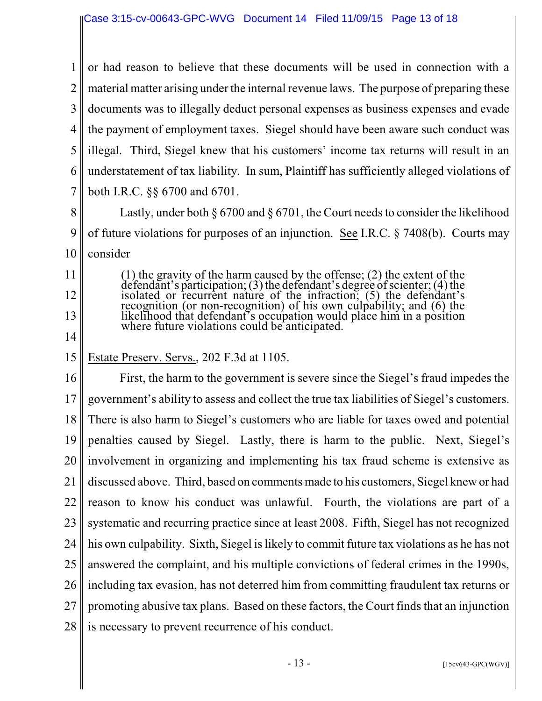1 2 3 4 5 6 7 or had reason to believe that these documents will be used in connection with a material matter arising under the internal revenue laws. The purpose of preparing these documents was to illegally deduct personal expenses as business expenses and evade the payment of employment taxes. Siegel should have been aware such conduct was illegal. Third, Siegel knew that his customers' income tax returns will result in an understatement of tax liability. In sum, Plaintiff has sufficiently alleged violations of both I.R.C. §§ 6700 and 6701.

8 9 10 Lastly, under both § 6700 and § 6701, the Court needs to consider the likelihood of future violations for purposes of an injunction. See I.R.C. § 7408(b). Courts may consider

(1) the gravity of the harm caused by the offense; (2) the extent of the defendant's participation; (3) the defendant's degree of scienter; (4) the isolated or recurrent nature of the infraction; (5) the defendant's recognition (or non-recognition) of his own culpability; and (6) the likelihood that defendant's occupation would place him in a position where future violations could be anticipated.

14

11

12

13

#### 15 Estate Preserv. Servs., 202 F.3d at 1105.

16 17 18 19 20 21 22 23 24 25 26 27 28 First, the harm to the government is severe since the Siegel's fraud impedes the government's ability to assess and collect the true tax liabilities of Siegel's customers. There is also harm to Siegel's customers who are liable for taxes owed and potential penalties caused by Siegel. Lastly, there is harm to the public. Next, Siegel's involvement in organizing and implementing his tax fraud scheme is extensive as discussed above. Third, based on comments made to his customers, Siegel knew or had reason to know his conduct was unlawful. Fourth, the violations are part of a systematic and recurring practice since at least 2008. Fifth, Siegel has not recognized his own culpability. Sixth, Siegel is likely to commit future tax violations as he has not answered the complaint, and his multiple convictions of federal crimes in the 1990s, including tax evasion, has not deterred him from committing fraudulent tax returns or promoting abusive tax plans. Based on these factors, the Court finds that an injunction is necessary to prevent recurrence of his conduct.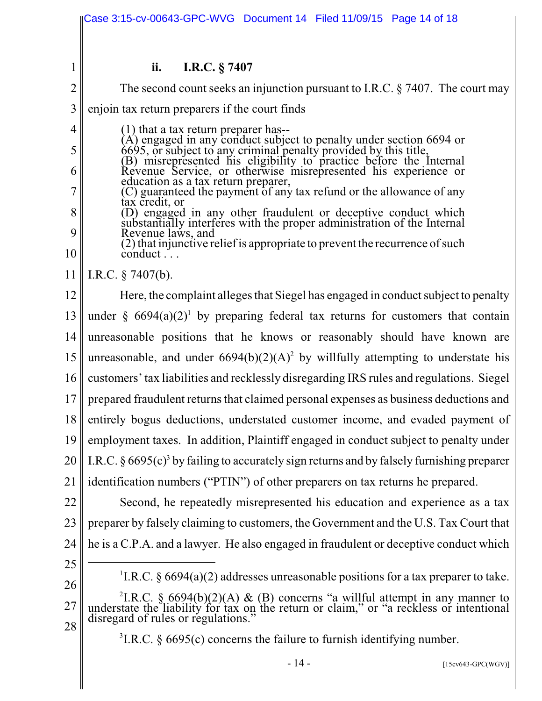|                | Case 3:15-cv-00643-GPC-WVG Document 14 Filed 11/09/15 Page 14 of 18                                                                                                                                                                     |  |  |
|----------------|-----------------------------------------------------------------------------------------------------------------------------------------------------------------------------------------------------------------------------------------|--|--|
|                |                                                                                                                                                                                                                                         |  |  |
| 1              | ii.<br>I.R.C. § 7407                                                                                                                                                                                                                    |  |  |
| $\overline{2}$ | The second count seeks an injunction pursuant to I.R.C. $\S$ 7407. The court may                                                                                                                                                        |  |  |
| $\overline{3}$ | enjoin tax return preparers if the court finds                                                                                                                                                                                          |  |  |
| $\overline{4}$ | $(1)$ that a tax return preparer has--                                                                                                                                                                                                  |  |  |
| 5              | (A) engaged in any conduct subject to penalty under section 6694 or<br>6695, or subject to any criminal penalty provided by this title,<br>(B) misrepresented his eligibility to practice before the Internal<br>Revenue Service, or ot |  |  |
| 6              | education as a tax return preparer,                                                                                                                                                                                                     |  |  |
| 7              | (C) guaranteed the payment of any tax refund or the allowance of any<br>tax credit, or                                                                                                                                                  |  |  |
| 8<br>9         | (D) engaged in any other fraudulent or deceptive conduct which<br>substantially interferes with the proper administration of the Internal<br>Revenue laws, and                                                                          |  |  |
| 10             | (2) that injunctive relief is appropriate to prevent the recurrence of such<br>conduct                                                                                                                                                  |  |  |
| 11             | I.R.C. $\S$ 7407(b).                                                                                                                                                                                                                    |  |  |
| 12             | Here, the complaint alleges that Siegel has engaged in conduct subject to penalty                                                                                                                                                       |  |  |
| 13             | under § $6694(a)(2)^1$ by preparing federal tax returns for customers that contain                                                                                                                                                      |  |  |
| 14             | unreasonable positions that he knows or reasonably should have known are                                                                                                                                                                |  |  |
| 15             | unreasonable, and under $6694(b)(2)(A)^2$ by willfully attempting to understate his                                                                                                                                                     |  |  |
| 16             | customers' tax liabilities and recklessly disregarding IRS rules and regulations. Siegel                                                                                                                                                |  |  |
| 17             | prepared fraudulent returns that claimed personal expenses as business deductions and                                                                                                                                                   |  |  |
| 18             | entirely bogus deductions, understated customer income, and evaded payment of                                                                                                                                                           |  |  |
| 19             | employment taxes. In addition, Plaintiff engaged in conduct subject to penalty under                                                                                                                                                    |  |  |
| 20             | I.R.C. $\S 6695(c)^3$ by failing to accurately sign returns and by falsely furnishing preparer                                                                                                                                          |  |  |
| 21             | identification numbers ("PTIN") of other preparers on tax returns he prepared.                                                                                                                                                          |  |  |
| 22             | Second, he repeatedly misrepresented his education and experience as a tax                                                                                                                                                              |  |  |
| 23             | preparer by falsely claiming to customers, the Government and the U.S. Tax Court that                                                                                                                                                   |  |  |
| 24             | he is a C.P.A. and a lawyer. He also engaged in fraudulent or deceptive conduct which                                                                                                                                                   |  |  |
| 25             | <sup>1</sup> I.R.C. § 6694(a)(2) addresses unreasonable positions for a tax preparer to take.                                                                                                                                           |  |  |
| 26             |                                                                                                                                                                                                                                         |  |  |
| 27<br>28       | <sup>2</sup> I.R.C. § 6694(b)(2)(A) & (B) concerns "a willful attempt in any manner to understate the liability for tax on the return or claim," or "a reckless or intentional<br>disregard of rules or regulations."                   |  |  |
|                | ${}^{3}$ I.R.C. § 6695(c) concerns the failure to furnish identifying number.                                                                                                                                                           |  |  |
|                | $-14-$<br>$[15cv643-GPC(WGV)]$                                                                                                                                                                                                          |  |  |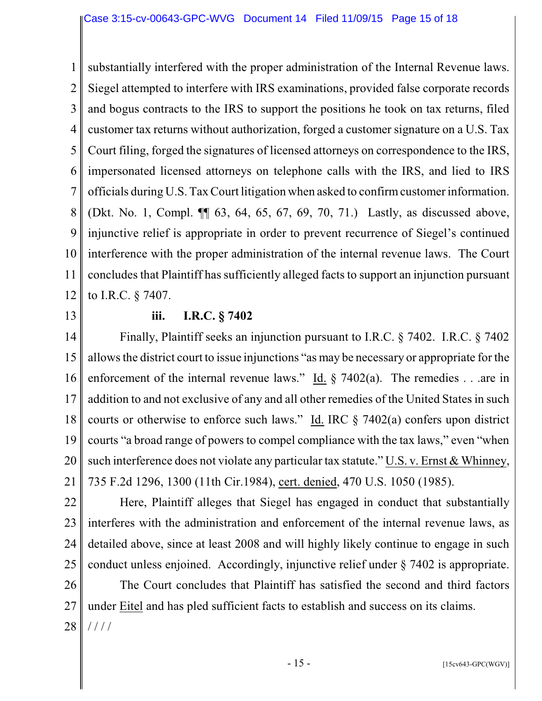1 2 3 4 5 6 7 8 9 10 11 12 substantially interfered with the proper administration of the Internal Revenue laws. Siegel attempted to interfere with IRS examinations, provided false corporate records and bogus contracts to the IRS to support the positions he took on tax returns, filed customer tax returns without authorization, forged a customer signature on a U.S. Tax Court filing, forged the signatures of licensed attorneys on correspondence to the IRS, impersonated licensed attorneys on telephone calls with the IRS, and lied to IRS officials during U.S. TaxCourt litigation when asked to confirm customer information. (Dkt. No. 1, Compl. ¶¶ 63, 64, 65, 67, 69, 70, 71.) Lastly, as discussed above, injunctive relief is appropriate in order to prevent recurrence of Siegel's continued interference with the proper administration of the internal revenue laws. The Court concludes that Plaintiff has sufficiently alleged facts to support an injunction pursuant to I.R.C. § 7407.

13

#### **iii. I.R.C. § 7402**

14 15 16 17 18 19 20 21 Finally, Plaintiff seeks an injunction pursuant to I.R.C. § 7402. I.R.C. § 7402 allows the district court to issue injunctions "as may be necessary or appropriate for the enforcement of the internal revenue laws." Id.  $\S$  7402(a). The remedies . . . are in addition to and not exclusive of any and all other remedies of the United States in such courts or otherwise to enforce such laws." Id. IRC  $\S$  7402(a) confers upon district courts "a broad range of powers to compel compliance with the tax laws," even "when such interference does not violate any particular tax statute." U.S. v. Ernst & Whinney, 735 F.2d 1296, 1300 (11th Cir.1984), cert. denied, 470 U.S. 1050 (1985).

22 23 24 25 Here, Plaintiff alleges that Siegel has engaged in conduct that substantially interferes with the administration and enforcement of the internal revenue laws, as detailed above, since at least 2008 and will highly likely continue to engage in such conduct unless enjoined. Accordingly, injunctive relief under § 7402 is appropriate.

26 27 28 The Court concludes that Plaintiff has satisfied the second and third factors under Eitel and has pled sufficient facts to establish and success on its claims. / / / /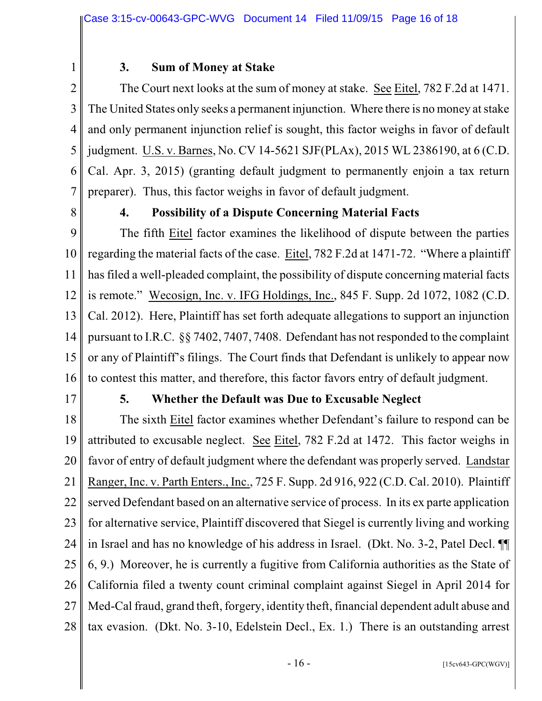1 2

# **3. Sum of Money at Stake**

3 4 5 6 7 The Court next looks at the sum of money at stake. See Eitel, 782 F.2d at 1471. The United States only seeks a permanent injunction. Where there is no money at stake and only permanent injunction relief is sought, this factor weighs in favor of default judgment. U.S. v. Barnes, No. CV 14-5621 SJF(PLAx), 2015 WL 2386190, at 6 (C.D. Cal. Apr. 3, 2015) (granting default judgment to permanently enjoin a tax return preparer). Thus, this factor weighs in favor of default judgment.

8

## **4. Possibility of a Dispute Concerning Material Facts**

9 10 11 12 13 14 15 16 The fifth Eitel factor examines the likelihood of dispute between the parties regarding the material facts of the case. Eitel, 782 F.2d at 1471-72. "Where a plaintiff has filed a well-pleaded complaint, the possibility of dispute concerning material facts is remote." Wecosign, Inc. v. IFG Holdings, Inc., 845 F. Supp. 2d 1072, 1082 (C.D. Cal. 2012). Here, Plaintiff has set forth adequate allegations to support an injunction pursuant to I.R.C. §§ 7402, 7407, 7408. Defendant has not responded to the complaint or any of Plaintiff's filings. The Court finds that Defendant is unlikely to appear now to contest this matter, and therefore, this factor favors entry of default judgment.

17

#### **5. Whether the Default was Due to Excusable Neglect**

18 19 20 21 22 23 24 25 26 27 28 The sixth Eitel factor examines whether Defendant's failure to respond can be attributed to excusable neglect. See Eitel, 782 F.2d at 1472. This factor weighs in favor of entry of default judgment where the defendant was properly served. Landstar Ranger, Inc. v. Parth Enters., Inc., 725 F. Supp. 2d 916, 922 (C.D. Cal. 2010). Plaintiff served Defendant based on an alternative service of process. In its ex parte application for alternative service, Plaintiff discovered that Siegel is currently living and working in Israel and has no knowledge of his address in Israel. (Dkt. No. 3-2, Patel Decl. ¶¶ 6, 9.) Moreover, he is currently a fugitive from California authorities as the State of California filed a twenty count criminal complaint against Siegel in April 2014 for Med-Cal fraud, grand theft, forgery, identity theft, financial dependent adult abuse and tax evasion. (Dkt. No. 3-10, Edelstein Decl., Ex. 1.) There is an outstanding arrest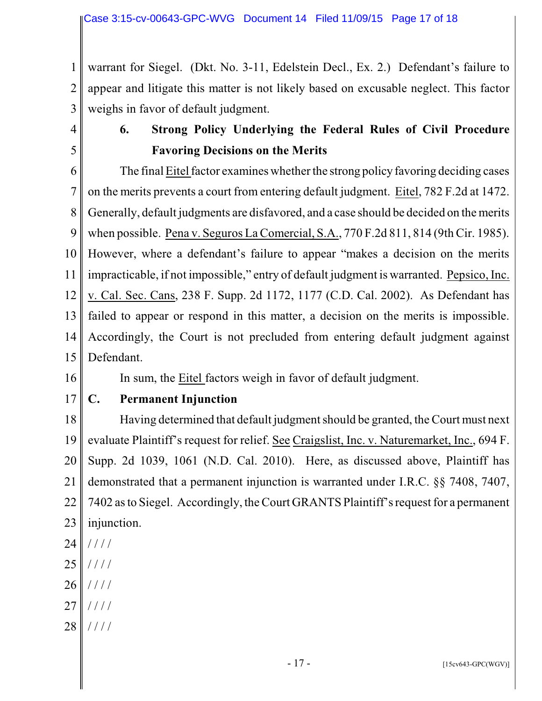1 2 3 warrant for Siegel. (Dkt. No. 3-11, Edelstein Decl., Ex. 2.) Defendant's failure to appear and litigate this matter is not likely based on excusable neglect. This factor weighs in favor of default judgment.

4

5

# **6. Strong Policy Underlying the Federal Rules of Civil Procedure Favoring Decisions on the Merits**

6 7 8 9 10 11 12 13 14 15 The final Eitel factor examines whether the strong policy favoring deciding cases on the merits prevents a court from entering default judgment. Eitel, 782 F.2d at 1472. Generally, default judgments are disfavored, and a case should be decided on the merits when possible. Pena v. Seguros La Comercial, S.A., 770 F.2d 811, 814 (9th Cir. 1985). However, where a defendant's failure to appear "makes a decision on the merits impracticable, if not impossible," entry of default judgment is warranted. Pepsico, Inc. v. Cal. Sec. Cans, 238 F. Supp. 2d 1172, 1177 (C.D. Cal. 2002). As Defendant has failed to appear or respond in this matter, a decision on the merits is impossible. Accordingly, the Court is not precluded from entering default judgment against Defendant.

16

# In sum, the Eitel factors weigh in favor of default judgment.

17 **C. Permanent Injunction** 

18 19 20 21 22 23 Having determined that default judgment should be granted, the Court must next evaluate Plaintiff's request for relief. See Craigslist, Inc. v. Naturemarket, Inc., 694 F. Supp. 2d 1039, 1061 (N.D. Cal. 2010). Here, as discussed above, Plaintiff has demonstrated that a permanent injunction is warranted under I.R.C. §§ 7408, 7407, 7402 as to Siegel. Accordingly, the Court GRANTS Plaintiff's request for a permanent injunction.

- 24 / / / /
- 25 / / / /
- 26 / / / /
- 27 / / / /
- 28 / / / /